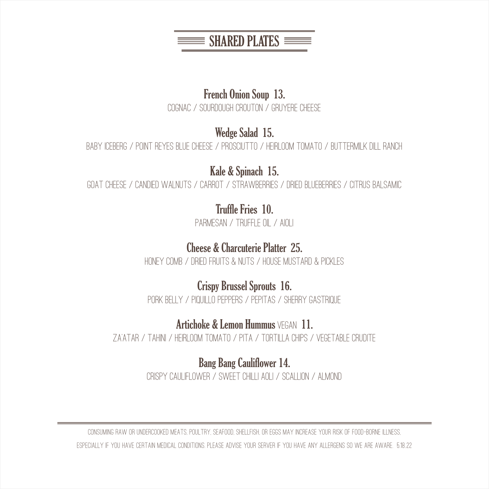

## French Onion Soup 13.

COGNAC / SOURDOUGH CROUTON / GRUYERE CHEESE

# Wedge Salad 15.

BABY ICEBERG / POINT REYES BLUE CHEESE / PROSCIUTTO / HEIRLOOM TOMATO / BUTTERMILK DILL RANCH

Kale & Spinach 15.

Goat Cheese / Candied Walnuts / Carrot / Strawberries / Dried Blueberries / Citrus Balsamic

# Truffle Fries 10.

PARMESAN / TRUFFLE OIL / AIOLI

# Cheese & Charcuterie Platter 25.

Honey Comb / Dried Fruits & Nuts / House Mustard & Pickles

# Crispy Brussel Sprouts 16.

Pork Belly / Piquillo Peppers / Pepitas / Sherry Gastrique

## Artichoke & Lemon Hummus VEGAN 11.

Za'atar / Tahini / Heirloom Tomato / Pita / Tortilla Chips / Vegetable CruditE

Bang Bang Cauliflower 14. Crispy Cauliflower / Sweet Chilli Aoli / Scallion / Almond

Consuming raw or undercooked meats, poultry, seafood, shellfish, or eggs may increase your risk of food-borne illness, especially if you have certain medical conditions. Please advise your server if you have any allergens so we are aware. 5.18..22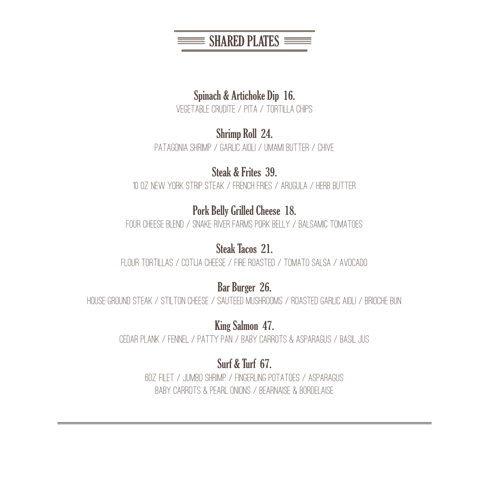$\equiv$  SHARED PLATES  $\equiv$ 

## Spinach & Artichoke Dip 16.

Vegetable CruditE / Pita / Tortilla Chips

## Shrimp Roll 24.

PATAGONIA SHRIMP / GARLIC AIOLI / UMAMI BUTTER / CHIVE

# Steak & Frites 39.

10 oz New York Strip Steak / French Fries / Arugula / Herb Butter

# Pork Belly Grilled Cheese 18.

FOUR CHEESE BLEND / SNAKE RIVER FARMS PORK BELLY / BALSAMIC TOMATOES

## Steak Tacos 21.

Flour Tortillas / Cotija Cheese / Fire Roasted / Tomato Salsa / Avocado

Bar Burger 26.

House Ground Steak / Stilton Cheese / Sauteed Mushrooms / Roasted Garlic Aioli / Brioche Bun

King Salmon 47.

Cedar Plank / Fennel / Patty Pan / Baby Carrots & Asparagus / Basil Jus

# Surf & Turf 67.

6oz Filet / Jumbo Shrimp / Fingerling Potatoes / Asparagus Baby Carrots & Pearl Onions / Bearnaise & Bordelaise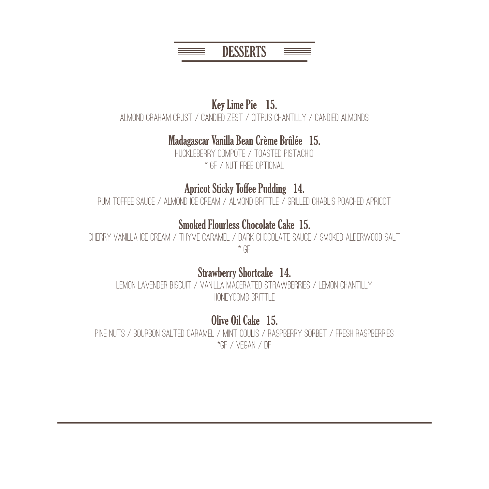

## Key Lime Pie 15. Almond Graham Crust / Candied Zest / Citrus Chantilly / Candied Almonds

# Madagascar Vanilla Bean Crème Brûlée 15.

Huckleberry Compote / Toasted Pistachio \* GF / Nut Free Optional

## Apricot Sticky Toffee Pudding 14.

Rum Toffee Sauce / Almond Ice Cream / Almond Brittle / Grilled Chablis Poached Apricot

## Smoked Flourless Chocolate Cake 15.

Cherry Vanilla Ice Cream / Thyme Caramel / Dark Chocolate Sauce / Smoked Alderwood Salt \* GF

## Strawberry Shortcake 14.

Lemon Lavender Biscuit / Vanilla Macerated Strawberries / Lemon Chantilly HONEYCOMB BRITTLE

# Olive Oil Cake 15.

Pine Nuts / Bourbon Salted Caramel / Mint Coulis / Raspberry Sorbet / Fresh Raspberries \*GF / Vegan / DF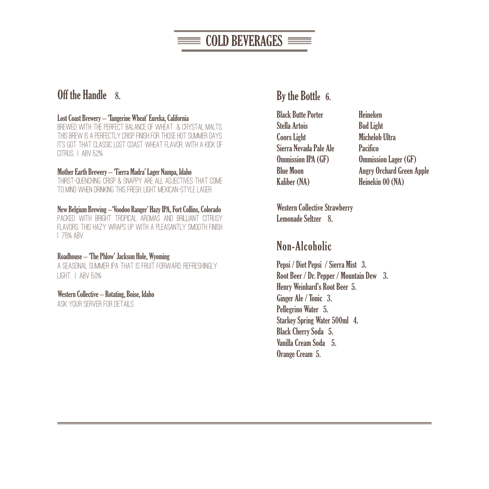# $\equiv$  COLD BEVERAGES  $\equiv$

## Off the Handle 8.

#### Lost Coast Brewery – 'Tangerine Wheat' Eureka, California

BREWED WITH THE PERFECT BALANCE OF WHEAT & CRYSTAL MALTS. this brew is a perfectly crisp finish for those hot summer days. It's got that classic Lost Coast wheat flavor, with a kick of CITRUS. | ABV 5.2%

#### Mother Earth Brewery – 'Tierra Madra' Lager Nampa, Idaho

Thirst-quenching, crisp & snappy are all adjectives that come to mind when drinking this fresh, light Mexican-style lager.

#### New Belgium Brewing –'Voodoo Ranger' Hazy IPA, Fort Collins, Colorado

Packed with bright tropical aromas and brilliant citrusy flavors, this hazy wraps up with a pleasantly smooth finish | 7.5% ABV

#### Roadhouse – 'The Phlow' Jackson Hole, Wyoming

A seasonal summer IPA that is fruit forward, refreshingly light. | ABV 5.0%

#### Western Collective – Rotating, Boise, Idaho

ASK YOUR SERVER FOR DETAILS

## By the Bottle 6.

Black Butte Porter Stella Artois Coors Light Sierra Nevada Pale Ale Ommission IPA (GF) Blue Moon Kaliber (NA)

Heineken Bud Light Michelob Ultra **Pacifico** Ommission Lager (GF) Angry Orchard Green Apple Heinekin 00 (NA)

Western Collective Strawberry Lemonade Seltzer 8.

## Non-Alcoholic

Pepsi / Diet Pepsi / Sierra Mist 3. Root Beer / Dr. Pepper / Mountain Dew 3. Henry Weinhard's Root Beer 5. Ginger Ale / Tonic 3. Pellegrino Water 5. Starkey Spring Water 500ml 4. Black Cherry Soda 5. Vanilla Cream Soda 5. Orange Cream 5.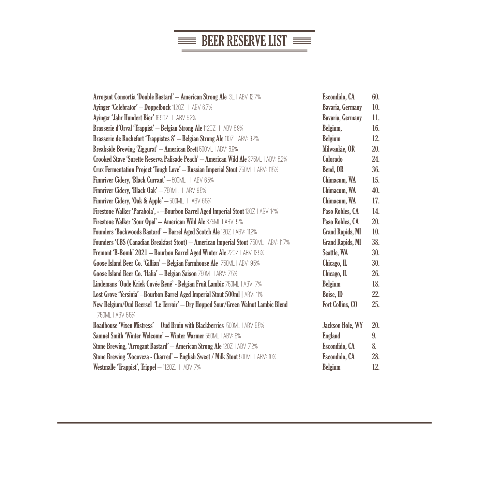# $\equiv$  BEER RESERVE LIST

| Arrogant Consortia 'Double Bastard' - American Strong Ale 3L   ABV 12.7%              | Escondido, CA           | 60. |
|---------------------------------------------------------------------------------------|-------------------------|-----|
| Ayinger 'Celebrator' - Doppelbock 11.20Z   ABV 6.7%                                   | <b>Bavaria, Germany</b> | 10. |
| Ayinger 'Jahr Hundert Bier' 16.90Z   ABV 5.2%                                         | <b>Bavaria, Germany</b> | 11. |
| Brasserie d'Orval 'Trappist' - Belgian Strong Ale 1120Z   ABV 6.9%                    | Belgium,                | 16. |
| Brasserie de Rochefort 'Trappistes 8' - Belgian Strong Ale 110Z   ABV: 9.2%           | <b>Belgium</b>          | 12. |
| Breakside Brewing 'Ziggurat' - American Brett 500ML   ABV: 6.9%                       | Milwaukie, OR           | 20. |
| Crooked Stave 'Surette Reserva Palisade Peach' - American Wild Ale 375ML   ABV: 6.2%  | Colorado                | 24. |
| Crux Fermentation Project Tough Love' - Russian Imperial Stout 750ML   ABV: 11.5%     | Bend, OR                | 36. |
| Finnriver Cidery, 'Black Currant' - 500ML, I ABV 6.5%                                 | Chimacum, WA            | 15. |
| Finnriver Cidery, 'Black Oak' - 750ML, I ABV 9.5%                                     | Chimacum, WA            | 40. |
| Finnriver Cidery, 'Oak & Apple' - 500ML, I ABV 6.5%                                   | Chimacum, WA            | 17. |
| Firestone Walker 'Parabola', - -Bourbon Barrel Aged Imperial Stout 120Z   ABV 14%     | Paso Robles, CA         | 14. |
| Firestone Walker 'Sour Opal' - American Wild Ale 375ML   ABV: 5%                      | Paso Robles, CA         | 20. |
| Founders 'Backwoods Bastard' - Barrel Aged Scotch Ale 120Z   ABV: 11.2%               | <b>Grand Rapids, MI</b> | 10. |
| Founders 'CBS (Canadian Breakfast Stout) - American Imperial Stout 750ML   ABV: 11.7% | <b>Grand Rapids, MI</b> | 38. |
| Fremont 'B-Bomb' 2021 - Bourbon Barrel Aged Winter Ale 220Z   ABV 13.5%               | Seattle, WA             | 30. |
| Goose Island Beer Co. 'Gillian' - Belgian Farmhouse Ale 750ML   ABV: 95%              | Chicago, IL             | 30. |
| Goose Island Beer Co. 'Halia' - Belgian Saison 750ML   ABV: 7.5%                      | Chicago, IL             | 26. |
| Lindemans 'Oude Kriek Cuvée René' - Belgian Fruit Lambic 750ML   ABV: 7%              | Belgium                 | 18. |
| Lost Grove 'Yersinia' -Bourbon Barrel Aged Imperial Stout 500ml   ABV: 11%            | Boise, ID               | 22. |
| New Belgium/Oud Beersel 'Le Terroir' — Dry Hopped Sour/Green Walnut Lambic Blend      | Fort Collins, CO        | 25. |
| 750ML   ABV 5.5%                                                                      |                         |     |
| Roadhouse 'Vixen Mistress' - Oud Bruin with Blackberries 500ML   ABV 5.5%             | Jackson Hole, WY        | 20. |
| Samuel Smith 'Winter Welcome' - Winter Warmer 550ML   ABV: 6%                         | <b>England</b>          | 9.  |
| Stone Brewing, 'Arrogant Bastard' - American Strong Ale 120Z   ABV 7.2%               | Escondido, CA           | 8.  |
| Stone Brewing 'Xocoveza - Charred' - English Sweet / Milk Stout 500ML I ABV: 10%      | Escondido, CA           | 28. |
| Westmalle 'Trappist', Trippel - 1120Z.   ABV 7%                                       | <b>Belgium</b>          | 12. |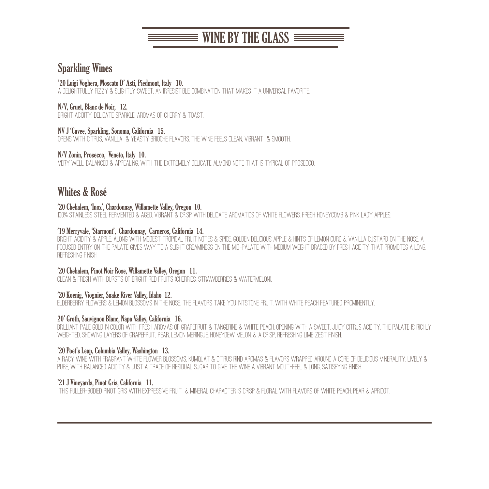# $\equiv$  WINE BY THE GLASS  $\equiv$   $\equiv$

## Sparkling Wines

#### '20 Luigi Voghera, Moscato D' Asti, Piedmont, Italy 10.

A delightfully fizzy & slightly sweet, an irresistible combination that makes it a universal favorite.

#### N/V, Gruet, Blanc de Noir, 12.

Bright acidity, delicate sparkle, aromas of cherry & toast.

#### NV J 'Cuvee, Sparkling, Sonoma, California 15.

Opens with citrus, vanilla & yeasty brioche flavors. The wine feels clean, vibrant & smooth.

#### N/V Zonin, Prosecco, Veneto, Italy 10.

VERY WELL-BALANCED & APPEALING, WITH THE EXTREMELY DELICATE ALMOND NOTE THAT IS TYPICAL OF PROSECCO.

## Whites & Rosé

#### '20 Chehalem, 'Inox', Chardonnay, Willamette Valley, Oregon 10.

100% Stainless steel fermented & aged. Vibrant & crisp with delicate aromatics of white flowers, fresh honeycomb & pink lady apples.

#### '19 Merryvale, 'Starmont', Chardonnay, Carneros, California 14.

Bright acidity & apple, along with modest tropical fruit notes & spice, Golden Delicious apple & hints of lemon curd & vanilla custard on the nose. A focused entry on the palate gives way to a slight creaminess on the mid-palate with medium weight braced by fresh acidity that promotes a long, refreshing finish.

#### '20 Chehalem, Pinot Noir Rose, Willamette Valley, Oregon 11.

Clean & fresh with bursts of bright red fruits (Cherries, Strawberries & Watermelon).

#### '20 Koenig, Viognier, Snake River Valley, Idaho 12.

ELDERBERRY FLOWERS & LEMON BLOSSOMS IN THE NOSE. THE FLAVORS TAKE YOU INTSTONE FRUIT, WITH WHITE PEACH FEATURED PROMINENTLY.

#### 20' Groth, Sauvignon Blanc, Napa Valley, California 16.

BRILLIANT PALE GOLD IN COLOR WITH FRESH AROMAS OF GRAPEFRUIT & TANGERINE & WHITE PEACH. OPENING WITH A SWEET, JUICY CITRUS ACIDITY, THE PALATE IS RICHLY WEIGHTED, SHOWING LAYERS OF GRAPEFRUIT, PEAR, LEMON MERINGUE, HONEYDEW MELON, & A CRISP, REFRESHING LIME ZEST FINISH.

#### '20 Poet's Leap, Columbia Valley, Washington 13.

A racy wine with fragrant white flower blossoms, kumquat & citrus rind aromas & flavors wrapped around a core of delicious minerality. Lively & pure, with balanced acidity & just a trace of residual sugar to give the wine a vibrant mouthfeel & long, satisfying finish.

#### '21 J Vineyards, Pinot Gris, California 11.

This fuller-bodied Pinot Gris with expressive fruit & mineral character is crisp & floral with flavors of white peach, pear & apricot.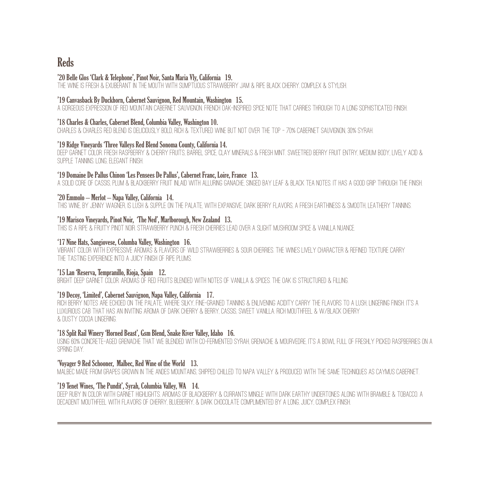## **Reds**

#### '20 Belle Glos 'Clark & Telephone', Pinot Noir, Santa Maria Vly, California 19.

The Wine Is Fresh & Exuberant In The Mouth With Sumptuous Strawberry Jam & Ripe Black Cherry. Complex & Stylish.

#### '19 Canvasback By Duckhorn, Cabernet Sauvignon, Red Mountain, Washington 15.

A Gorgeous Expression Of Red Mountain Cabernet Sauvignon. French Oak-Inspired Spice Note That Carries Through To A Long Sophisticated Finish.

#### '18 Charles & Charles, Cabernet Blend, Columbia Valley, Washington 10.

Charles & Charles Red Blend Is Deliciously Bold, Rich & Textured Wine But Not Over The Top – 70% Cabernet Sauvignon, 30% Syrah.

#### '19 Ridge Vineyards 'Three Valleys Red Blend Sonoma County, California 14.

Deep Garnet Color. Fresh Raspberry & Cherry Fruits, Barrel Spice, Clay Minerals & Fresh Mint. SweetRed Berry Fruit Entry, Medium Body, Lively Acid & SUPPLE TANNINS. LONG, ELEGANT FINISH.

#### '19 Domaine De Pallus Chinon 'Les Pensees De Pallus', Cabernet Franc, Loire, France 13.

A Solid Core Of Cassis, Plum & Blackberry Fruit Inlaid With Alluring Ganache, Singed Bay Leaf & Black Tea Notes. It has a Good Grip Through The Finish.

#### '20 Emmolo – Merlot – Napa Valley, California 14.

THIS WINE BY JENNY WAGNER IS LUSH & SUPPLE ON THE PALATE, WITH EXPANSIVE DARK BERRY FLAVORS, A FRESH EARTHINESS & SMOOTH, LEATHERY TANNINS.

#### '19 Marisco Vineyards, Pinot Noir, 'The Ned', Marlborough, New Zealand 13.

This is a ripe & fruity Pinot Noir. Strawberry punch & fresh cherries lead over a slight mushroom spice & vanilla nuance.

#### '17 Nine Hats, Sangiovese, Columba Valley, Washington 16.

Vibrant color with expressive aromas & flavors of wild strawberries & sour cherries. The wines lively character & refined texture carry the tasting experience into a juicy finish of ripe plums.

#### '15 Lan 'Reserva, Tempranillo, Rioja, Spain 12.

Bright Deep Garnet Color. Aromas Of Red Fruits Blended With Notes Of Vanilla & Spices. The Oak Is Structured & Filling.

#### '19 Decoy, 'Limited', Cabernet Sauvignon, Napa Valley, California 17.

rich berry notes are echoed on the palate, where silky, fine-grained tannins & enlivening acidity carry the flavors to a lush, lingering finish. it's a Luxurious Cab that Has an Inviting Aroma Of Dark Cherry & Berry, Cassis, Sweet Vanilla. Rich Mouthfeel & w/Black Cherry & Dusty Cocoa Lingering.

#### '18 Split Rail Winery 'Horned Beast', Gsm Blend, Snake River Valley, Idaho 16.

Using 60% Concrete-Aged Grenache That We Blended With Co-Fermented Syrah, Grenache & Mourvedre, It's A Bowl Full Of Freshly Picked Raspberries On A SPRING DAY

#### 'Voyager 9 Red Schooner, Malbec, Red Wine of the World 13.

Malbec Made From Grapes Grown In The Andes Mountains, Shipped Chilled To Napa Valley & Produced With The Same Techniques As Caymus Cabernet.

#### '19 Tenet Wines, 'The Pundit', Syrah, Columbia Valley, WA 14.

deep ruby in color with garnet highlights. Aromas of blackberry & currants mingle with dark earthy undertones along with bramble & tobacco. A decadent mouthfeel with flavors of cherry, blueberry, & dark chocolate complimented by a long, juicy, complex finish.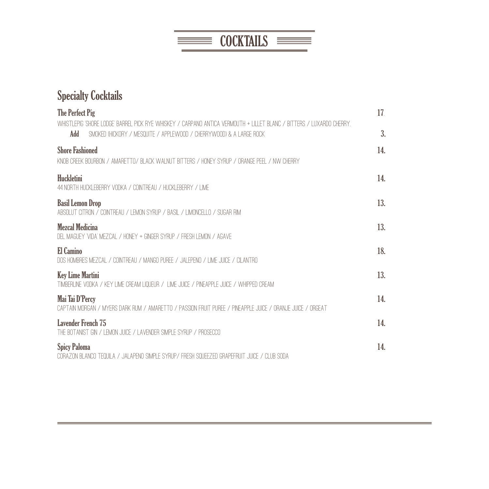

# Specialty Cocktails

| The Perfect Pig                                                                                                                                                                                     | 17. |
|-----------------------------------------------------------------------------------------------------------------------------------------------------------------------------------------------------|-----|
| WHISTLEPIG 'SHORE LODGE' BARREL PICK RYE WHISKEY / CARPANO ANTICA VERMOUTH + LILLET BLANC / BITTERS / LUXARDO CHERRY<br>Add<br>SMOKED (HICKORY / MESQUITE / APPI EWOOD / CHERRYWOOD) & A LARGE ROCK | 3.  |
| <b>Shore Fashioned</b><br>KNOB CREEK BOURBON / AMARETTO/ BLACK WAI NUT BITTERS / HONEY SYRUP / ORANGE PEEL / NW CHERRY                                                                              | 14. |
| Huckletini<br>44 NORTH HUCKI FBFRRY VODKA / COINTREAU / HUCKI FBFRRY / I IMF                                                                                                                        | 14. |
| <b>Basil Lemon Drop</b><br>ABSOLUT CITRON / COINTREAU / LEMON SYRUP / BASIL / LIMONCELLO / SUGAR RIM                                                                                                | 13. |
| <b>Mezcal Medicina</b><br>DEL MAGUEY VIDA' MEZCAL / HONEY + GINGER SYRUP / FRESH LEMON / AGAVE                                                                                                      | 13. |
| El Camino<br>DOS HOMBRES MEZCAL / COINTREAU / MANGO PUREE / JALEPENO / LIME JUICE / CILANTRO                                                                                                        | 18. |
| <b>Key Lime Martini</b><br>TIMBERI INE VODKA / KEY I IME CREAM I IQUEUR / TIME JUICE / PINEAPPLE JUICE / WHIPPED CREAM                                                                              | 13. |
| Mai Tai D'Percy<br>CAPTAIN MORGAN / MYERS DARK RUM / AMARETTO / PASSION ERUIT PUREE / PINEAPPLE JUICE / ORANJE JUICE / ORGEAT                                                                       | 14. |
| <b>Lavender French 75</b><br>THE BOTANIST GIN / I FMON JUICE / I AVENDER SIMPLE SYRUP / PROSECCO                                                                                                    | 14. |
| <b>Spicy Paloma</b><br>CORAZON BLANCO TEQUILA / JALAPENO SIMPLE SYRUP/ FRESH SQUEEZED GRAPEFRUIT JUICE / CLUB SODA                                                                                  | 14. |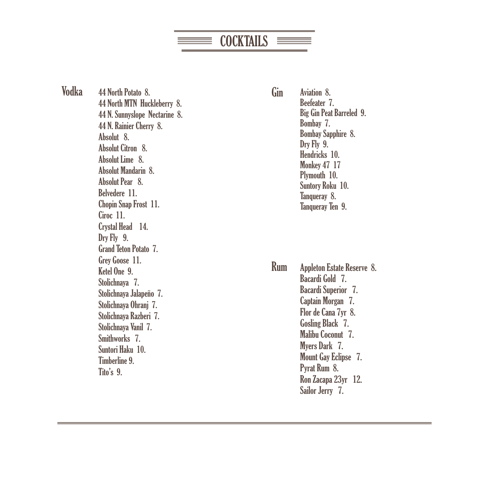**COCKTAILS**  $\equiv$ 

44 North Potato 8. Gin 44 North MTN Huckleberry 8. 44 N. Sunnyslope Nectarine 8. 44 N. Rainier Cherry 8. Absolut 8. Absolut Citron 8. Absolut Lime 8. Absolut Mandarin 8. Absolut Pear 8. Belvedere 11. Chopin Snap Frost 11. Ciroc 11. Crystal Head 14. Dry Fly 9. Grand Teton Potato 7. Grey Goose 11. Ketel One 9. Stolichnaya 7. Stolichnaya Jalapeño 7. Stolichnaya Ohranj 7. Stolichnaya Razberi 7. Stolichnaya Vanil 7. Smithworks 7. Suntori Haku 10. Timberline 9. Tito's 9. Vodka

Aviation 8. Beefeater 7. Big Gin Peat Barreled 9. Bombay 7. Bombay Sapphire 8. Dry Fly 9. Hendricks 10. Monkey 47 17 Plymouth 10. Suntory Roku 10. Tanqueray 8. Tanqueray Ten 9.

Rum Appleton Estate Reserve 8. Bacardi Gold 7. Bacardi Superior 7. Captain Morgan 7. Flor de Cana 7yr 8. Gosling Black 7. Malibu Coconut 7. Myers Dark 7. Mount Gay Eclipse 7. Pyrat Rum 8. Ron Zacapa 23yr 12. Sailor Jerry 7.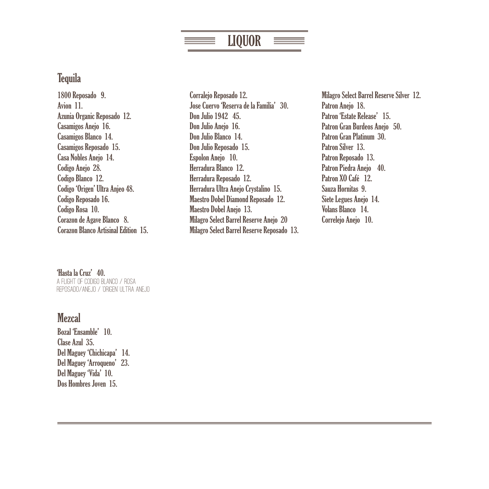# LIQUOR

## **Tequila**

1800 Reposado 9. Avion 11. Azunia Organic Reposado 12. Casamigos Anejo 16. Casamigos Blanco 14. Casamigos Reposado 15. Casa Nobles Anejo 14. Codigo Anejo 28. Codigo Blanco 12. Codigo 'Origen' Ultra Anjeo 48. Codigo Reposado 16. Codigo Rosa 10. Corazon de Agave Blanco 8. Corazon Blanco Artisinal Edition 15. Corralejo Reposado 12. Jose Cuervo 'Reserva de la Familia' 30. Don Julio 1942 45. Don Julio Aneio 16. Don Julio Blanco 14. Don Julio Reposado 15. Espolon Anejo 10. Herradura Blanco 12. Herradura Reposado 12. Herradura Ultra Anejo Crystalino 15. Maestro Dobel Diamond Reposado 12. Maestro Dobel Anejo 13. Milagro Select Barrel Reserve Anejo 20 Milagro Select Barrel Reserve Reposado 13. Milagro Select Barrel Reserve Silver 12. Patron Anejo 18. Patron 'Estate Release' 15. Patron Gran Burdeos Anejo 50. Patron Gran Platinum 30. Patron Silver 13. Patron Reposado 13. Patron Piedra Anejo 40. Patron XO Café 12. Sauza Hornitas 9. Siete Legues Anejo 14. Volans Blanco 14. Correlejo Anejo 10.

#### 'Hasta la Cruz' 40.

A Flight of Codigo Blanco / Rosa REPOSADO/ANEJO / 'ORIGEN' ULTRA ANEJO

## **Mezcal**

Bozal 'Ensamble' 10. Clase Azul 35. Del Maguey 'Chichicapa' 14. Del Maguey 'Arroqueno' 23. Del Maguey 'Vida' 10. Dos Hombres Joven 15.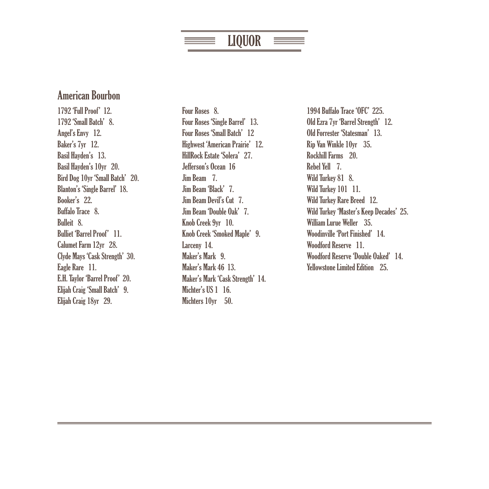# LIQUOR

## American Bourbon

1792 'Full Proof' 12. 1792 'Small Batch' 8. Angel's Envy 12. Baker's 7yr 12. Basil Hayden's 13. Basil Hayden's 10yr 20. Bird Dog 10yr 'Small Batch' 20. Blanton's 'Single Barrel' 18. Booker's 22. Buffalo Trace 8. Bulleit 8. Bulliet 'Barrel Proof' 11. Calumet Farm 12yr 28. Clyde Mays 'Cask Strength' 30. Eagle Rare 11. E.H. Taylor 'Barrel Proof' 20. Elijah Craig 'Small Batch' 9. Elijah Craig 18yr 29.

Four Roses 8. Four Roses 'Single Barrel' 13. Four Roses 'Small Batch' 12 Highwest 'American Prairie' 12. HillRock Estate 'Solera' 27. Jefferson's Ocean 16 Jim Beam 7. Jim Beam 'Black' 7. Jim Beam Devil's Cut 7. Jim Beam 'Double Oak' 7. Knob Creek 9yr 10. Knob Creek 'Smoked Maple' 9. Larceny 14. Maker's Mark 9. Maker's Mark 46 13. Maker's Mark 'Cask Strength' 14. Michter's US 1 16. Michters 10yr 50.

1994 Buffalo Trace 'OFC' 225. Old Ezra 7yr 'Barrel Strength' 12. Old Forrester 'Statesman' 13. Rip Van Winkle 10yr 35. Rockhill Farms 20. Rebel Yell 7. Wild Turkey 81 8. Wild Turkey 101 11. Wild Turkey Rare Breed 12. Wild Turkey 'Master's Keep Decades' 25. William Lurue Weller 35. Woodinville 'Port Finished' 14. Woodford Reserve 11. Woodford Reserve 'Double Oaked' 14. Yellowstone Limited Edition 25.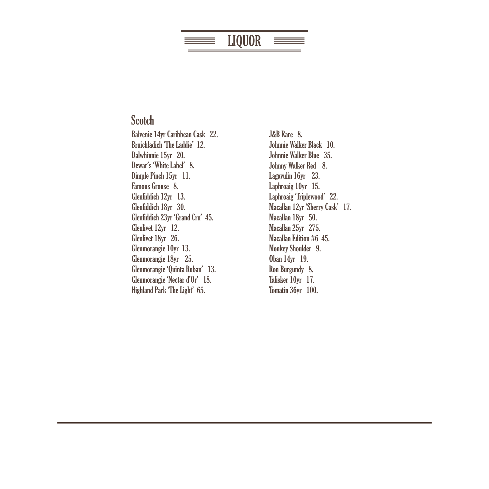#### LIQUOR ==

## **Scotch**

Balvenie 14yr Caribbean Cask 22. Bruichladich 'The Laddie' 12. Dalwhinnie 15yr 20. Dewar's 'White Label' 8. Dimple Pinch 15yr 11. Famous Grouse 8. Glenfiddich 12yr 13. Glenfiddich 18yr 30. Glenfiddich 23yr 'Grand Cru' 45. Glenlivet 12yr 12. Glenlivet 18yr 26. Glenmorangie 10yr 13. Glenmorangie 18yr 25. Glenmorangie 'Quinta Ruban' 13. Glenmorangie 'Nectar d'Or' 18. Highland Park 'The Light' 65.

J&B Rare 8. Johnnie Walker Black 10. Johnnie Walker Blue 35. Johnny Walker Red 8. Lagavulin 16yr 23. Laphroaig 10yr 15. Laphroaig 'Triplewood' 22. Macallan 12yr 'Sherry Cask' 17. Macallan 18yr 50. Macallan 25yr 275. Macallan Edition #6 45. Monkey Shoulder 9. Oban 14yr 19. Ron Burgundy 8. Talisker 10yr 17. Tomatin 36yr 100.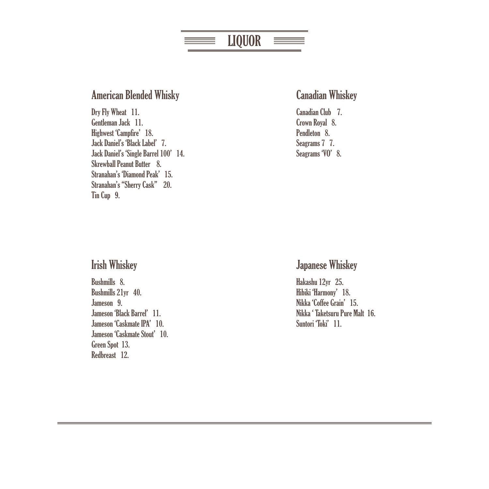#### LIQUOR<u> Elizabeth a</u>  $\equiv$

### American Blended Whisky

Dry Fly Wheat 11. Gentleman Jack 11. Highwest 'Campfire' 18. Jack Daniel's 'Black Label' 7. Jack Daniel's 'Single Barrel 100' 14. Skrewball Peanut Butter 8. Stranahan's 'Diamond Peak' 15. Stranahan's "Sherry Cask" 20. Tin Cup 9.

### Canadian Whiskey

Canadian Club 7. Crown Royal 8. Pendleton 8. Seagrams 7 7. Seagrams 'VO' 8.

### Irish Whiskey

Bushmills 8. Bushmills 21yr 40. Jameson 9. Jameson 'Black Barrel' 11. Jameson 'Caskmate IPA' 10. Jameson 'Caskmate Stout' 10. Green Spot 13. Redbreast 12.

### Japanese Whiskey

Hakashu 12yr 25. Hibiki 'Harmony' 18. Nikka 'Coffee Grain' 15. Nikka ' Taketsuru Pure Malt 16. Suntori Toki' 11.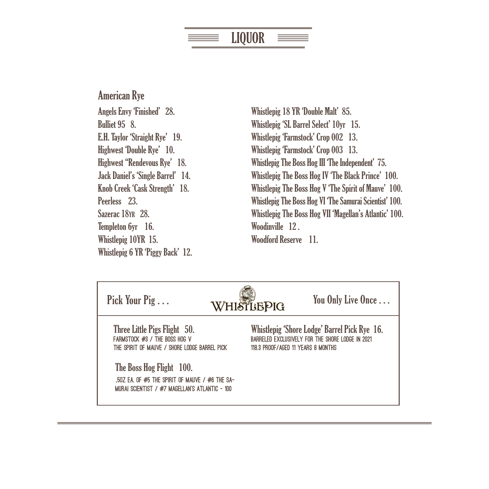# LIQUOR

American Rye Angels Envy 'Finished' 28. Bulliet 95 8. E.H. Taylor 'Straight Rye' 19. Highwest 'Double Rye' 10. Highwest "Rendevous Rye' 18. Jack Daniel's 'Single Barrel' 14. Knob Creek 'Cask Strength' 18. Peerless 23. Sazerac 18YR 28. Templeton 6yr 16. Whistlepig 10YR 15. Whistlepig 6 YR 'Piggy Back' 12.

Whistlepig 18 YR 'Double Malt' 85. Whistlepig 'SL Barrel Select' 10yr 15. Whistlepig 'Farmstock' Crop 002 13. Whistlepig 'Farmstock' Crop 003 13. Whistlepig The Boss Hog III 'The Independent' 75. Whistlepig The Boss Hog IV 'The Black Prince' 100. Whistlepig The Boss Hog V 'The Spirit of Mauve' 100. Whistlepig The Boss Hog VI 'The Samurai Scientist' 100. Whistlepig The Boss Hog VII 'Magellan's Atlantic' 100. Woodinville 12 . Woodford Reserve 11